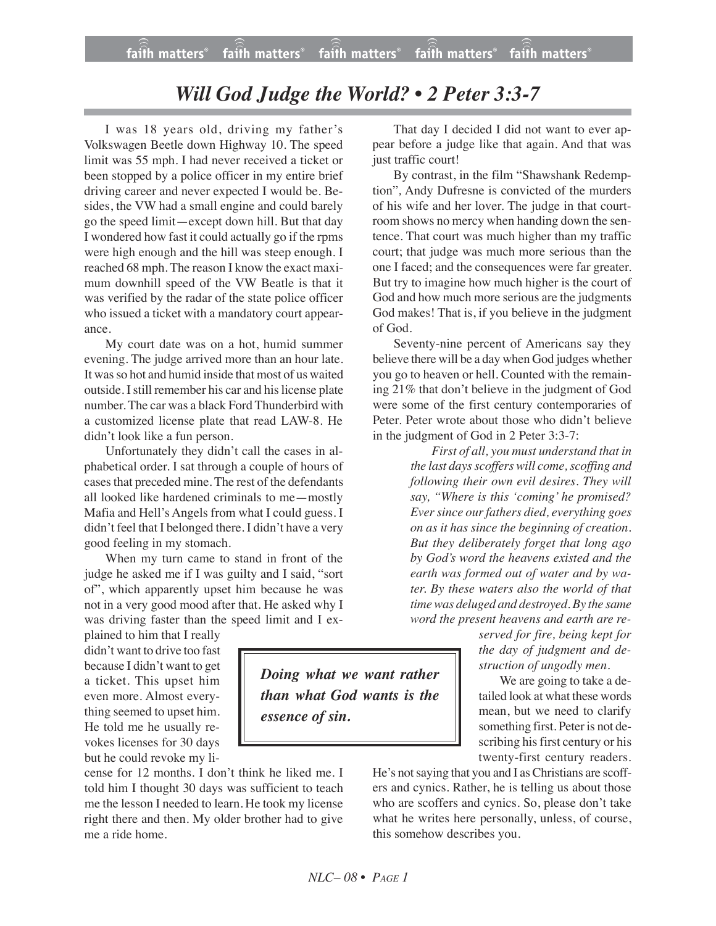## *Will God Judge the World? • 2 Peter 3:3-7*

I was 18 years old, driving my father's Volkswagen Beetle down Highway 10. The speed limit was 55 mph. I had never received a ticket or been stopped by a police officer in my entire brief driving career and never expected I would be. Besides, the VW had a small engine and could barely go the speed limit—except down hill. But that day I wondered how fast it could actually go if the rpms were high enough and the hill was steep enough. I reached 68 mph. The reason I know the exact maximum downhill speed of the VW Beatle is that it was verified by the radar of the state police officer who issued a ticket with a mandatory court appearance.

My court date was on a hot, humid summer evening. The judge arrived more than an hour late. It wasso hot and humid inside that most of us waited outside. I still remember his car and hislicense plate number. The car was a black Ford Thunderbird with a customized license plate that read LAW-8. He didn't look like a fun person.

Unfortunately they didn't call the cases in alphabetical order. I sat through a couple of hours of cases that preceded mine. The rest of the defendants all looked like hardened criminals to me—mostly Mafia and Hell's Angels from what I could guess. I didn't feel that I belonged there. I didn't have a very good feeling in my stomach.

When my turn came to stand in front of the judge he asked me if I was guilty and I said, "sort of", which apparently upset him because he was not in a very good mood after that. He asked why I was driving faster than the speed limit and I ex-

plained to him that I really didn't want to drive too fast because I didn't want to get a ticket. This upset him even more. Almost everything seemed to upset him. He told me he usually revokes licenses for 30 days but he could revoke my li-

cense for 12 months. I don't think he liked me. I told him I thought 30 days was sufficient to teach me the lesson I needed to learn. He took my license right there and then. My older brother had to give me a ride home.

That day I decided I did not want to ever appear before a judge like that again. And that was just traffic court!

By contrast, in the film "Shawshank Redemption"*,* Andy Dufresne is convicted of the murders of his wife and her lover. The judge in that courtroom shows no mercy when handing down the sentence. That court was much higher than my traffic court; that judge was much more serious than the one I faced; and the consequences were far greater. But try to imagine how much higher is the court of God and how much more serious are the judgments God makes! That is, if you believe in the judgment of God.

Seventy-nine percent of Americans say they believe there will be a day when God judges whether you go to heaven or hell. Counted with the remaining 21% that don't believe in the judgment of God were some of the first century contemporaries of Peter. Peter wrote about those who didn't believe in the judgment of God in 2 Peter 3:3-7:

> *First of all, you must understand that in the last days scoffers will come, scoffing and following their own evil desires. They will say, "Where is this 'coming' he promised? Eversince ourfathers died, everything goes on as it has since the beginning of creation. But they deliberately forget that long ago by God's word the heavens existed and the earth was formed out of water and by water. By these waters also the world of that time was deluged and destroyed. By the same word the present heavens and earth are re-*

*served for fire, being kept for the day of judgment and destruction of ungodly men.*

We are going to take a detailed look at what these words mean, but we need to clarify something first. Peter is not describing his first century or his twenty-first century readers.

He's not saying that you and I as Christians are scoffers and cynics. Rather, he is telling us about those who are scoffers and cynics. So, please don't take what he writes here personally, unless, of course, this somehow describes you.

*Doing what we want rather than what God wants is the essence of sin.*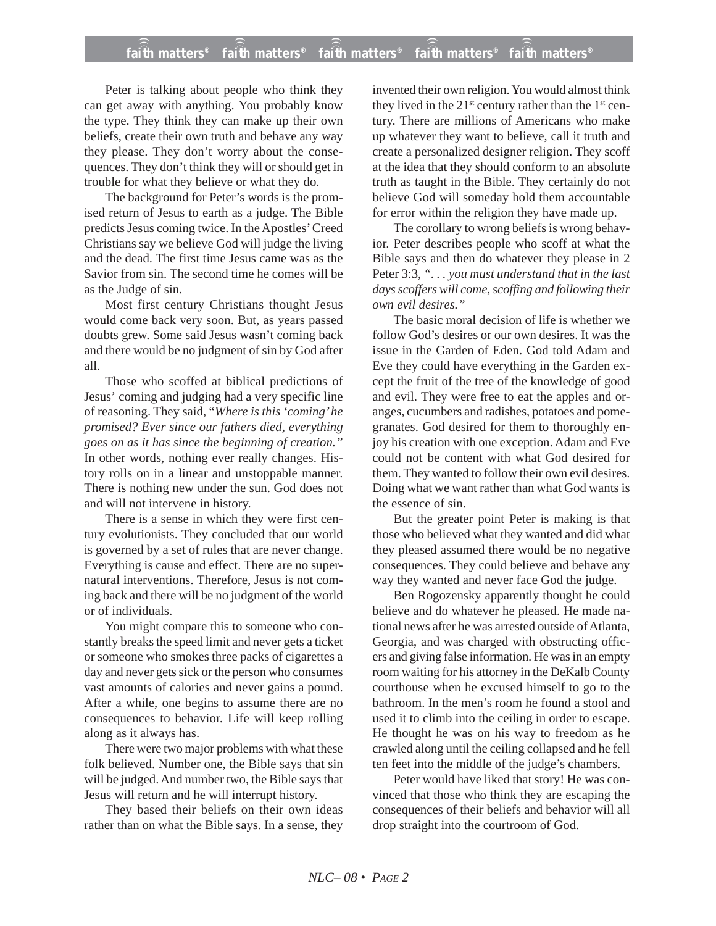## **faith matters® faith matters® faith matters® faith matters® faith matters®** ))) ))) ))) ))) faith matters<sup>®</sup> faith matters<sup>®</sup>

Peter is talking about people who think they can get away with anything. You probably know the type. They think they can make up their own beliefs, create their own truth and behave any way they please. They don't worry about the consequences. They don't think they will or should get in trouble for what they believe or what they do.

The background for Peter's words is the promised return of Jesus to earth as a judge. The Bible predicts Jesus coming twice. In the Apostles' Creed Christians say we believe God will judge the living and the dead. The first time Jesus came was as the Savior from sin. The second time he comes will be as the Judge of sin.

Most first century Christians thought Jesus would come back very soon. But, as years passed doubts grew. Some said Jesus wasn't coming back and there would be no judgment of sin by God after all.

Those who scoffed at biblical predictions of Jesus' coming and judging had a very specific line of reasoning. They said, "*Where is this 'coming' he promised? Ever since our fathers died, everything goes on as it has since the beginning of creation."* In other words, nothing ever really changes. History rolls on in a linear and unstoppable manner. There is nothing new under the sun. God does not and will not intervene in history.

There is a sense in which they were first century evolutionists. They concluded that our world is governed by a set of rules that are never change. Everything is cause and effect. There are no supernatural interventions. Therefore, Jesus is not coming back and there will be no judgment of the world or of individuals.

You might compare this to someone who constantly breaks the speed limit and never gets a ticket or someone who smokes three packs of cigarettes a day and never gets sick or the person who consumes vast amounts of calories and never gains a pound. After a while, one begins to assume there are no consequences to behavior. Life will keep rolling along as it always has.

There were two major problems with what these folk believed. Number one, the Bible says that sin will be judged. And number two, the Bible says that Jesus will return and he will interrupt history.

They based their beliefs on their own ideas rather than on what the Bible says. In a sense, they invented their own religion. You would almost think they lived in the  $21^{st}$  century rather than the  $1^{st}$  century. There are millions of Americans who make up whatever they want to believe, call it truth and create a personalized designer religion. They scoff at the idea that they should conform to an absolute truth as taught in the Bible. They certainly do not believe God will someday hold them accountable for error within the religion they have made up.

The corollary to wrong beliefs is wrong behavior. Peter describes people who scoff at what the Bible says and then do whatever they please in 2 Peter 3:3, *". . . you must understand that in the last days scoffers will come, scoffing and following their own evil desires."*

The basic moral decision of life is whether we follow God's desires or our own desires. It was the issue in the Garden of Eden. God told Adam and Eve they could have everything in the Garden except the fruit of the tree of the knowledge of good and evil. They were free to eat the apples and oranges, cucumbers and radishes, potatoes and pomegranates. God desired for them to thoroughly enjoy his creation with one exception. Adam and Eve could not be content with what God desired for them. They wanted to follow their own evil desires. Doing what we want rather than what God wants is the essence of sin.

But the greater point Peter is making is that those who believed what they wanted and did what they pleased assumed there would be no negative consequences. They could believe and behave any way they wanted and never face God the judge.

Ben Rogozensky apparently thought he could believe and do whatever he pleased. He made national news after he was arrested outside of Atlanta, Georgia, and was charged with obstructing officers and giving false information. He was in an empty room waiting for his attorney in the DeKalb County courthouse when he excused himself to go to the bathroom. In the men's room he found a stool and used it to climb into the ceiling in order to escape. He thought he was on his way to freedom as he crawled along until the ceiling collapsed and he fell ten feet into the middle of the judge's chambers.

Peter would have liked that story! He was convinced that those who think they are escaping the consequences of their beliefs and behavior will all drop straight into the courtroom of God.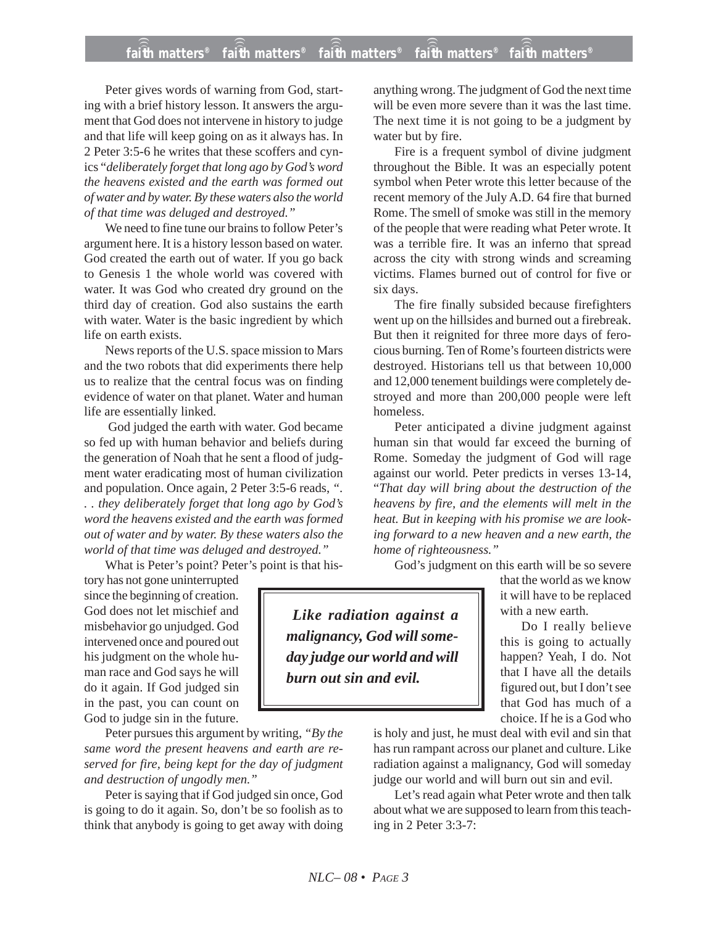Peter gives words of warning from God, starting with a brief history lesson. It answers the argument that God does not intervene in history to judge and that life will keep going on as it always has. In 2 Peter 3:5-6 he writes that these scoffers and cynics "*deliberately forget that long ago by God's word the heavens existed and the earth was formed out of water and by water. By these waters also the world of that time was deluged and destroyed."*

We need to fine tune our brains to follow Peter's argument here. It is a history lesson based on water. God created the earth out of water. If you go back to Genesis 1 the whole world was covered with water. It was God who created dry ground on the third day of creation. God also sustains the earth with water. Water is the basic ingredient by which life on earth exists.

News reports of the U.S. space mission to Mars and the two robots that did experiments there help us to realize that the central focus was on finding evidence of water on that planet. Water and human life are essentially linked.

God judged the earth with water. God became so fed up with human behavior and beliefs during the generation of Noah that he sent a flood of judgment water eradicating most of human civilization and population. Once again, 2 Peter 3:5-6 reads, *". . . they deliberately forget that long ago by God's word the heavens existed and the earth was formed out of water and by water. By these waters also the world of that time was deluged and destroyed."*

What is Peter's point? Peter's point is that his-

tory has not gone uninterrupted since the beginning of creation. God does not let mischief and misbehavior go unjudged. God intervened once and poured out his judgment on the whole human race and God says he will do it again. If God judged sin in the past, you can count on God to judge sin in the future.

Peter pursues this argument by writing, *"By the same word the present heavens and earth are reserved for fire, being kept for the day of judgment and destruction of ungodly men."*

Peter is saying that if God judged sin once, God is going to do it again. So, don't be so foolish as to think that anybody is going to get away with doing

anything wrong. The judgment of God the next time will be even more severe than it was the last time. The next time it is not going to be a judgment by water but by fire.

Fire is a frequent symbol of divine judgment throughout the Bible. It was an especially potent symbol when Peter wrote this letter because of the recent memory of the July A.D. 64 fire that burned Rome. The smell of smoke was still in the memory of the people that were reading what Peter wrote. It was a terrible fire. It was an inferno that spread across the city with strong winds and screaming victims. Flames burned out of control for five or six days.

The fire finally subsided because firefighters went up on the hillsides and burned out a firebreak. But then it reignited for three more days of ferocious burning. Ten of Rome's fourteen districts were destroyed. Historians tell us that between 10,000 and 12,000 tenement buildings were completely destroyed and more than 200,000 people were left homeless.

Peter anticipated a divine judgment against human sin that would far exceed the burning of Rome. Someday the judgment of God will rage against our world. Peter predicts in verses 13-14, "*That day will bring about the destruction of the heavens by fire, and the elements will melt in the heat. But in keeping with his promise we are looking forward to a new heaven and a new earth, the home of righteousness."*

God's judgment on this earth will be so severe

that the world as we know it will have to be replaced with a new earth.

Do I really believe this is going to actually happen? Yeah, I do. Not that I have all the details figured out, but I don't see that God has much of a choice. If he is a God who

is holy and just, he must deal with evil and sin that has run rampant across our planet and culture. Like radiation against a malignancy, God will someday judge our world and will burn out sin and evil.

Let's read again what Peter wrote and then talk about what we are supposed to learn from this teaching in 2 Peter 3:3-7:

*Like radiation against a malignancy, God will someday judge our world and will burn out sin and evil.*